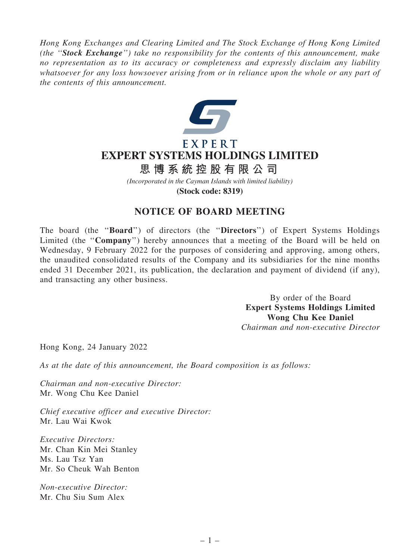*Hong Kong Exchanges and Clearing Limited and The Stock Exchange of Hong Kong Limited (the* ''Stock Exchange''*) take no responsibility for the contents of this announcement, make no representation as to its accuracy or completeness and expressly disclaim any liability whatsoever for any loss howsoever arising from or in reliance upon the whole or any part of the contents of this announcement.*



## EXPERT **EXPERT SYSTEMS HOLDINGS LIMITED**

## **思 博 系 統 控 股 有 限 公 司**

*(Incorporated in the Cayman Islands with limited liability)* **(Stock code: 8319)**

## NOTICE OF BOARD MEETING

The board (the ''Board'') of directors (the ''Directors'') of Expert Systems Holdings Limited (the "Company") hereby announces that a meeting of the Board will be held on Wednesday, 9 February 2022 for the purposes of considering and approving, among others, the unaudited consolidated results of the Company and its subsidiaries for the nine months ended 31 December 2021, its publication, the declaration and payment of dividend (if any), and transacting any other business.

> By order of the Board Expert Systems Holdings Limited Wong Chu Kee Daniel *Chairman and non-executive Director*

Hong Kong, 24 January 2022

*As at the date of this announcement, the Board composition is as follows:*

*Chairman and non-executive Director:* Mr. Wong Chu Kee Daniel

*Chief executive officer and executive Director:* Mr. Lau Wai Kwok

*Executive Directors:* Mr. Chan Kin Mei Stanley Ms. Lau Tsz Yan Mr. So Cheuk Wah Benton

*Non-executive Director:* Mr. Chu Siu Sum Alex